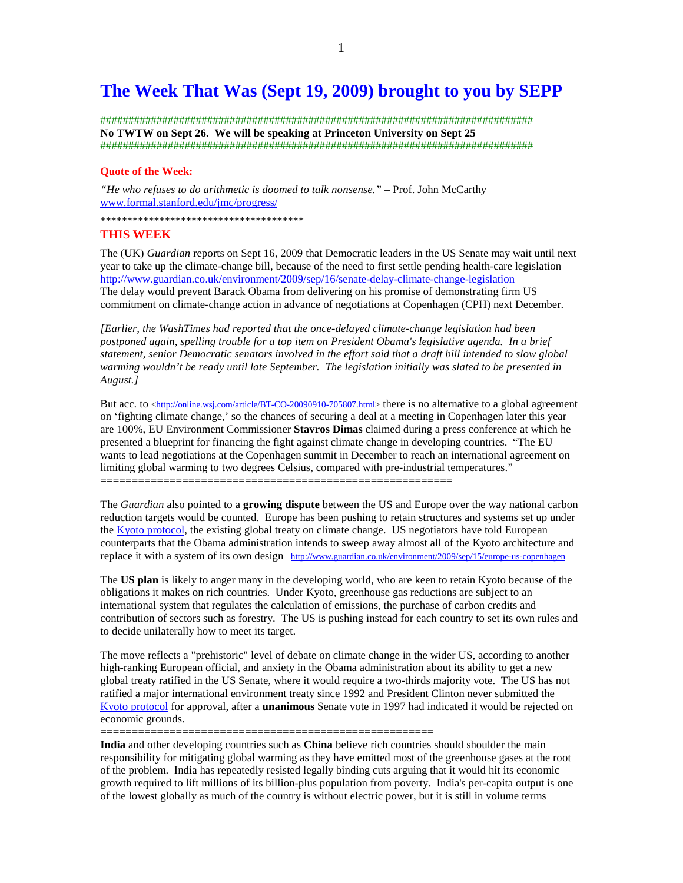# **The Week That Was (Sept 19, 2009) brought to you by SEPP**

############################################################################# **No TWTW on Sept 26. We will be speaking at Princeton University on Sept 25**  #############################################################################

## **Quote of the Week:**

*"He who refuses to do arithmetic is doomed to talk nonsense."* – Prof. John McCarthy www.formal.stanford.edu/jmc/progress/

\*\*\*\*\*\*\*\*\*\*\*\*\*\*\*\*\*\*\*\*\*\*\*\*\*\*\*\*\*\*\*\*\*\*\*\*\*\*

### **THIS WEEK**

The (UK) *Guardian* reports on Sept 16, 2009 that Democratic leaders in the US Senate may wait until next year to take up the climate-change bill, because of the need to first settle pending health-care legislation http://www.guardian.co.uk/environment/2009/sep/16/senate-delay-climate-change-legislation The delay would prevent Barack Obama from delivering on his promise of demonstrating firm US commitment on climate-change action in advance of negotiations at Copenhagen (CPH) next December.

*[Earlier, the WashTimes had reported that the once-delayed climate-change legislation had been postponed again, spelling trouble for a top item on President Obama's legislative agenda. In a brief statement, senior Democratic senators involved in the effort said that a draft bill intended to slow global warming wouldn't be ready until late September. The legislation initially was slated to be presented in August.]* 

But acc. to <http://online.wsj.com/article/BT-CO-20090910-705807.html> there is no alternative to a global agreement on 'fighting climate change,' so the chances of securing a deal at a meeting in Copenhagen later this year are 100%, EU Environment Commissioner **Stavros Dimas** claimed during a press conference at which he presented a blueprint for financing the fight against climate change in developing countries. "The EU wants to lead negotiations at the Copenhagen summit in December to reach an international agreement on limiting global warming to two degrees Celsius, compared with pre-industrial temperatures." ========================================================

The *Guardian* also pointed to a **growing dispute** between the US and Europe over the way national carbon reduction targets would be counted. Europe has been pushing to retain structures and systems set up under the Kyoto protocol, the existing global treaty on climate change. US negotiators have told European counterparts that the Obama administration intends to sweep away almost all of the Kyoto architecture and replace it with a system of its own design http://www.guardian.co.uk/environment/2009/sep/15/europe-us-copenhagen

The **US plan** is likely to anger many in the developing world, who are keen to retain Kyoto because of the obligations it makes on rich countries. Under Kyoto, greenhouse gas reductions are subject to an international system that regulates the calculation of emissions, the purchase of carbon credits and contribution of sectors such as forestry. The US is pushing instead for each country to set its own rules and to decide unilaterally how to meet its target.

The move reflects a "prehistoric" level of debate on climate change in the wider US, according to another high-ranking European official, and anxiety in the Obama administration about its ability to get a new global treaty ratified in the US Senate, where it would require a two-thirds majority vote. The US has not ratified a major international environment treaty since 1992 and President Clinton never submitted the Kyoto protocol for approval, after a **unanimous** Senate vote in 1997 had indicated it would be rejected on economic grounds.

=====================================================

**India** and other developing countries such as **China** believe rich countries should shoulder the main responsibility for mitigating global warming as they have emitted most of the greenhouse gases at the root of the problem. India has repeatedly resisted legally binding cuts arguing that it would hit its economic growth required to lift millions of its billion-plus population from poverty. India's per-capita output is one of the lowest globally as much of the country is without electric power, but it is still in volume terms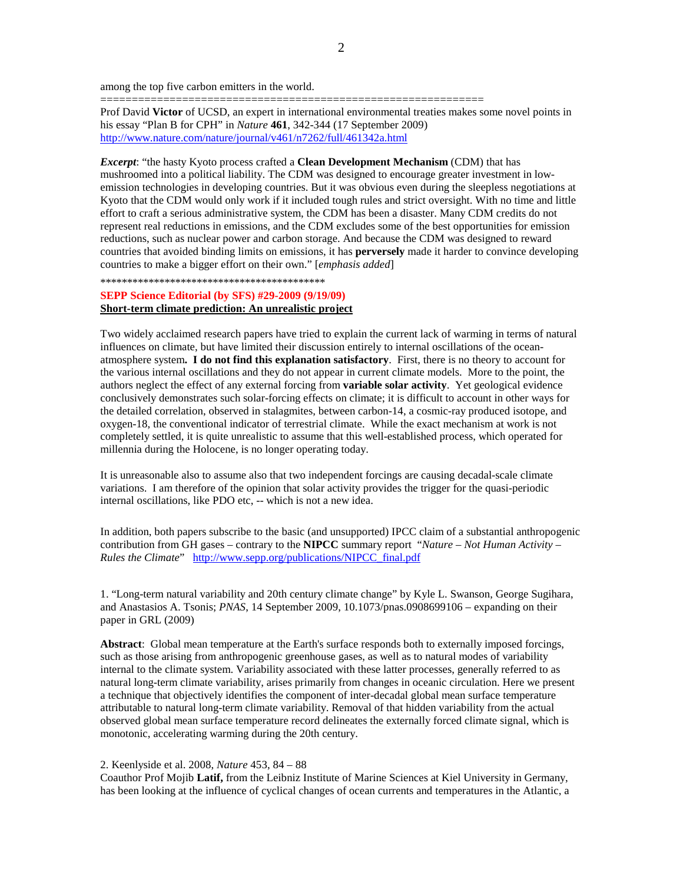among the top five carbon emitters in the world.

Prof David **Victor** of UCSD, an expert in international environmental treaties makes some novel points in his essay "Plan B for CPH" in *Nature* **461**, 342-344 (17 September 2009) http://www.nature.com/nature/journal/v461/n7262/full/461342a.html

=============================================================

*Excerpt*: "the hasty Kyoto process crafted a **Clean Development Mechanism** (CDM) that has mushroomed into a political liability. The CDM was designed to encourage greater investment in lowemission technologies in developing countries. But it was obvious even during the sleepless negotiations at Kyoto that the CDM would only work if it included tough rules and strict oversight. With no time and little effort to craft a serious administrative system, the CDM has been a disaster. Many CDM credits do not represent real reductions in emissions, and the CDM excludes some of the best opportunities for emission reductions, such as nuclear power and carbon storage. And because the CDM was designed to reward countries that avoided binding limits on emissions, it has **perversely** made it harder to convince developing countries to make a bigger effort on their own." [*emphasis added*]

\*\*\*\*\*\*\*\*\*\*\*\*\*\*\*\*\*\*\*\*\*\*\*\*\*\*\*\*\*\*\*\*\*\*\*\*\*\*\*\*\*\*

## **SEPP Science Editorial (by SFS) #29-2009 (9/19/09) Short-term climate prediction: An unrealistic project**

Two widely acclaimed research papers have tried to explain the current lack of warming in terms of natural influences on climate, but have limited their discussion entirely to internal oscillations of the oceanatmosphere system**. I do not find this explanation satisfactory**. First, there is no theory to account for the various internal oscillations and they do not appear in current climate models. More to the point, the authors neglect the effect of any external forcing from **variable solar activity**. Yet geological evidence conclusively demonstrates such solar-forcing effects on climate; it is difficult to account in other ways for the detailed correlation, observed in stalagmites, between carbon-14, a cosmic-ray produced isotope, and oxygen-18, the conventional indicator of terrestrial climate. While the exact mechanism at work is not completely settled, it is quite unrealistic to assume that this well-established process, which operated for millennia during the Holocene, is no longer operating today.

It is unreasonable also to assume also that two independent forcings are causing decadal-scale climate variations. I am therefore of the opinion that solar activity provides the trigger for the quasi-periodic internal oscillations, like PDO etc, -- which is not a new idea.

In addition, both papers subscribe to the basic (and unsupported) IPCC claim of a substantial anthropogenic contribution from GH gases – contrary to the **NIPCC** summary report "*Nature – Not Human Activity – Rules the Climate*" http://www.sepp.org/publications/NIPCC\_final.pdf

1. "Long-term natural variability and 20th century climate change" by Kyle L. Swanson, George Sugihara, and Anastasios A. Tsonis; *PNAS*, 14 September 2009, 10.1073/pnas.0908699106 – expanding on their paper in GRL (2009)

**Abstract**: Global mean temperature at the Earth's surface responds both to externally imposed forcings, such as those arising from anthropogenic greenhouse gases, as well as to natural modes of variability internal to the climate system. Variability associated with these latter processes, generally referred to as natural long-term climate variability, arises primarily from changes in oceanic circulation. Here we present a technique that objectively identifies the component of inter-decadal global mean surface temperature attributable to natural long-term climate variability. Removal of that hidden variability from the actual observed global mean surface temperature record delineates the externally forced climate signal, which is monotonic, accelerating warming during the 20th century.

#### 2. Keenlyside et al. 2008, *Nature* 453, 84 – 88

Coauthor Prof Mojib **Latif,** from the Leibniz Institute of Marine Sciences at Kiel University in Germany, has been looking at the influence of cyclical changes of ocean currents and temperatures in the Atlantic, a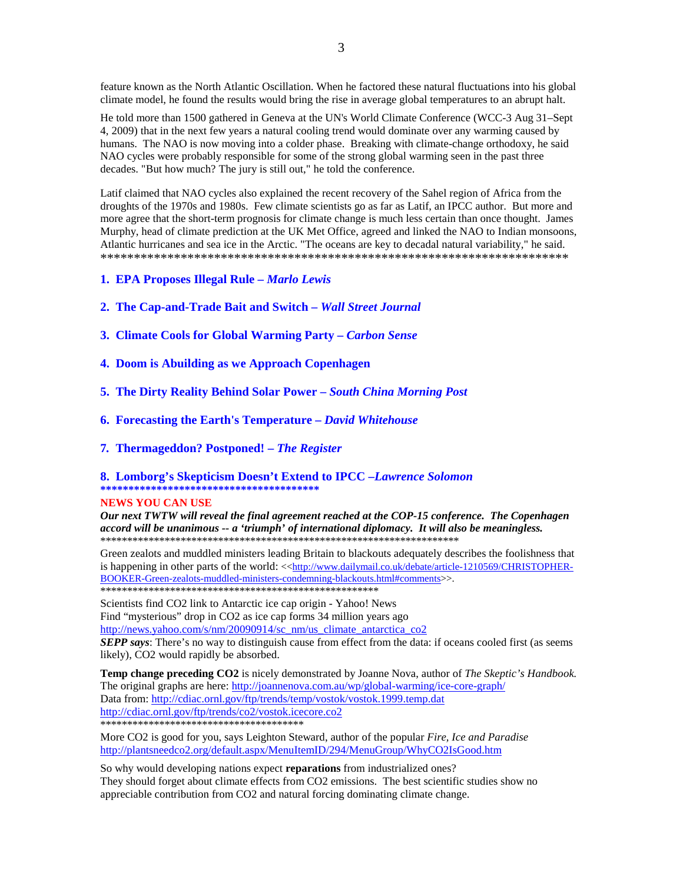feature known as the North Atlantic Oscillation. When he factored these natural fluctuations into his global climate model, he found the results would bring the rise in average global temperatures to an abrupt halt.

He told more than 1500 gathered in Geneva at the UN's World Climate Conference (WCC-3 Aug 31–Sept 4, 2009) that in the next few years a natural cooling trend would dominate over any warming caused by humans. The NAO is now moving into a colder phase. Breaking with climate-change orthodoxy, he said NAO cycles were probably responsible for some of the strong global warming seen in the past three decades. "But how much? The jury is still out," he told the conference.

Latif claimed that NAO cycles also explained the recent recovery of the Sahel region of Africa from the droughts of the 1970s and 1980s. Few climate scientists go as far as Latif, an IPCC author. But more and more agree that the short-term prognosis for climate change is much less certain than once thought. James Murphy, head of climate prediction at the UK Met Office, agreed and linked the NAO to Indian monsoons, Atlantic hurricanes and sea ice in the Arctic. "The oceans are key to decadal natural variability," he said. \*\*\*\*\*\*\*\*\*\*\*\*\*\*\*\*\*\*\*\*\*\*\*\*\*\*\*\*\*\*\*\*\*\*\*\*\*\*\*\*\*\*\*\*\*\*\*\*\*\*\*\*\*\*\*\*\*\*\*\*\*\*\*\*\*\*\*\*\*\*

- **1. EPA Proposes Illegal Rule** *Marlo Lewis*
- **2. The Cap-and-Trade Bait and Switch** *Wall Street Journal*
- **3. Climate Cools for Global Warming Party** *Carbon Sense*
- **4. Doom is Abuilding as we Approach Copenhagen**
- **5. The Dirty Reality Behind Solar Power** *South China Morning Post*
- **6. Forecasting the Earth's Temperature** *David Whitehouse*
- **7***.* **Thermageddon? Postponed!** *The Register*

**8. Lomborg's Skepticism Doesn't Extend to IPCC –***Lawrence Solomon*  **\*\*\*\*\*\*\*\*\*\*\*\*\*\*\*\*\*\*\*\*\*\*\*\*\*\*\*\*\*\*\*\*\*\*\*\*\*\*\*** 

### **NEWS YOU CAN USE**

*Our next TWTW will reveal the final agreement reached at the COP-15 conference. The Copenhagen accord will be unanimous -- a 'triumph' of international diplomacy. It will also be meaningless.*  \*\*\*\*\*\*\*\*\*\*\*\*\*\*\*\*\*\*\*\*\*\*\*\*\*\*\*\*\*\*\*\*\*\*\*\*\*\*\*\*\*\*\*\*\*\*\*\*\*\*\*\*\*\*\*\*\*\*\*\*\*\*\*\*\*\*\*

Green zealots and muddled ministers leading Britain to blackouts adequately describes the foolishness that is happening in other parts of the world: << http://www.dailymail.co.uk/debate/article-1210569/CHRISTOPHER-BOOKER-Green-zealots-muddled-ministers-condemning-blackouts.html#comments>>.

\*\*\*\*\*\*\*\*\*\*\*\*\*\*\*\*\*\*\*\*\*\*\*\*\*\*\*\*\*\*\*\*\*\*\*\*\*\*\*\*\*\*\*\*\*\*\*\*\*\*\*\*

Scientists find CO2 link to Antarctic ice cap origin - Yahoo! News Find "mysterious" drop in CO2 as ice cap forms 34 million years ago http://news.yahoo.com/s/nm/20090914/sc\_nm/us\_climate\_antarctica\_co2

*SEPP says*: There's no way to distinguish cause from effect from the data: if oceans cooled first (as seems likely), CO2 would rapidly be absorbed.

**Temp change preceding CO2** is nicely demonstrated by Joanne Nova, author of *The Skeptic's Handbook.*  The original graphs are here: http://joannenova.com.au/wp/global-warming/ice-core-graph/ Data from: http://cdiac.ornl.gov/ftp/trends/temp/vostok/vostok.1999.temp.dat http://cdiac.ornl.gov/ftp/trends/co2/vostok.icecore.co2 \*\*\*\*\*\*\*\*\*\*\*\*\*\*\*\*\*\*\*\*\*\*\*\*\*\*\*\*\*\*\*\*\*\*\*\*\*\*

More CO2 is good for you, says Leighton Steward, author of the popular *Fire, Ice and Paradise*  http://plantsneedco2.org/default.aspx/MenuItemID/294/MenuGroup/WhyCO2IsGood.htm

So why would developing nations expect **reparations** from industrialized ones? They should forget about climate effects from CO2 emissions. The best scientific studies show no appreciable contribution from CO2 and natural forcing dominating climate change.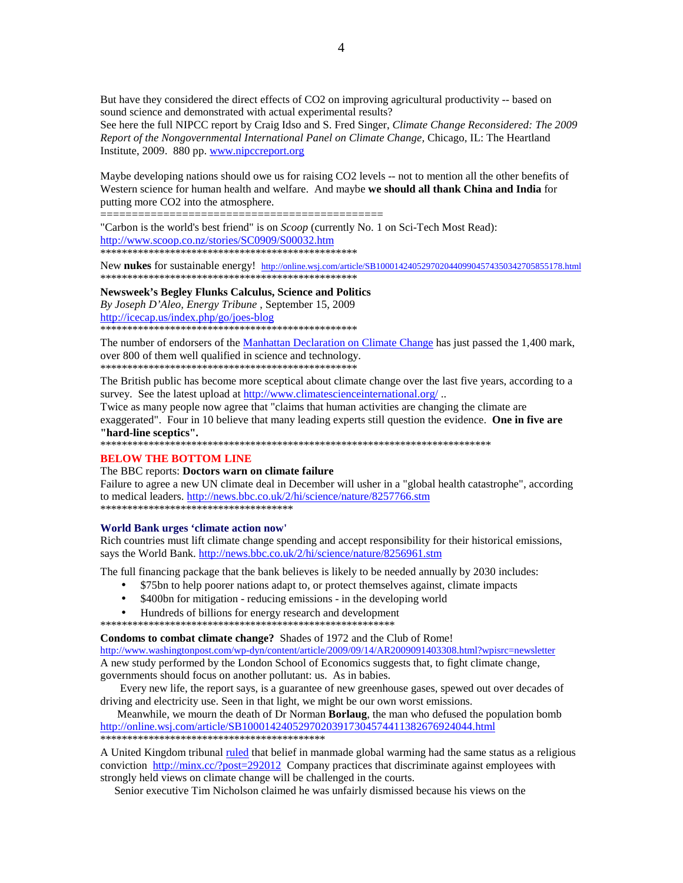But have they considered the direct effects of CO2 on improving agricultural productivity -- based on sound science and demonstrated with actual experimental results?

See here the full NIPCC report by Craig Idso and S. Fred Singer, *Climate Change Reconsidered: The 2009 Report of the Nongovernmental International Panel on Climate Change,* Chicago, IL: The Heartland Institute, 2009. 880 pp. www.nipccreport.org

Maybe developing nations should owe us for raising CO2 levels -- not to mention all the other benefits of Western science for human health and welfare. And maybe **we should all thank China and India** for putting more CO2 into the atmosphere.

=============================================

"Carbon is the world's best friend" is on *Scoop* (currently No. 1 on Sci-Tech Most Read): http://www.scoop.co.nz/stories/SC0909/S00032.htm \*\*\*\*\*\*\*\*\*\*\*\*\*\*\*\*\*\*\*\*\*\*\*\*\*\*\*\*\*\*\*\*\*\*\*\*\*\*\*\*\*\*\*\*\*\*\*\*

New **nukes** for sustainable energy! http://online.wsj.com/article/SB10001424052970204409904574350342705855178.html \*\*\*\*\*\*\*\*\*\*\*\*\*\*\*\*\*\*\*\*\*\*\*\*\*\*\*\*\*\*\*\*\*\*\*\*\*\*\*\*\*\*\*\*\*\*\*\*

**Newsweek's Begley Flunks Calculus, Science and Politics** *By Joseph D'Aleo, Energy Tribune* , September 15, 2009 http://icecap.us/index.php/go/joes-blog \*\*\*\*\*\*\*\*\*\*\*\*\*\*\*\*\*\*\*\*\*\*\*\*\*\*\*\*\*\*\*\*\*\*\*\*\*\*\*\*\*\*\*\*\*\*\*\*

The number of endorsers of the Manhattan Declaration on Climate Change has just passed the 1,400 mark, over 800 of them well qualified in science and technology. \*\*\*\*\*\*\*\*\*\*\*\*\*\*\*\*\*\*\*\*\*\*\*\*\*\*\*\*\*\*\*\*\*\*\*\*\*\*\*\*\*\*\*\*\*\*\*\*

The British public has become more sceptical about climate change over the last five years, according to a survey. See the latest upload at http://www.climatescienceinternational.org/...

Twice as many people now agree that "claims that human activities are changing the climate are exaggerated". Four in 10 believe that many leading experts still question the evidence. **One in five are "hard-line sceptics".**

\*\*\*\*\*\*\*\*\*\*\*\*\*\*\*\*\*\*\*\*\*\*\*\*\*\*\*\*\*\*\*\*\*\*\*\*\*\*\*\*\*\*\*\*\*\*\*\*\*\*\*\*\*\*\*\*\*\*\*\*\*\*\*\*\*\*\*\*\*\*\*\*\*

### **BELOW THE BOTTOM LINE**

## The BBC reports: **Doctors warn on climate failure**

Failure to agree a new UN climate deal in December will usher in a "global health catastrophe", according to medical leaders. http://news.bbc.co.uk/2/hi/science/nature/8257766.stm \*\*\*\*\*\*\*\*\*\*\*\*\*\*\*\*\*\*\*\*\*\*\*\*\*\*\*\*\*\*\*\*\*\*\*\*

#### **World Bank urges 'climate action now'**

Rich countries must lift climate change spending and accept responsibility for their historical emissions, says the World Bank. http://news.bbc.co.uk/2/hi/science/nature/8256961.stm

The full financing package that the bank believes is likely to be needed annually by 2030 includes:

- \$75bn to help poorer nations adapt to, or protect themselves against, climate impacts
- \$400bn for mitigation reducing emissions in the developing world
- Hundreds of billions for energy research and development

\*\*\*\*\*\*\*\*\*\*\*\*\*\*\*\*\*\*\*\*\*\*\*\*\*\*\*\*\*\*\*\*\*\*\*\*\*\*\*\*\*\*\*\*\*\*\*\*\*\*\*\*\*\*\*

**Condoms to combat climate change?** Shades of 1972 and the Club of Rome! http://www.washingtonpost.com/wp-dyn/content/article/2009/09/14/AR2009091403308.html?wpisrc=newsletter A new study performed by the London School of Economics suggests that, to fight climate change, governments should focus on another pollutant: us. As in babies.

 Every new life, the report says, is a guarantee of new greenhouse gases, spewed out over decades of driving and electricity use. Seen in that light, we might be our own worst emissions.

 Meanwhile, we mourn the death of Dr Norman **Borlaug**, the man who defused the population bomb http://online.wsj.com/article/SB10001424052970203917304574411382676924044.html \*\*\*\*\*\*\*\*\*\*\*\*\*\*\*\*\*\*\*\*\*\*\*\*\*\*\*\*\*\*\*\*\*\*\*\*\*\*\*\*\*\*

A United Kingdom tribunal ruled that belief in manmade global warming had the same status as a religious conviction http://minx.cc/?post=292012 Company practices that discriminate against employees with strongly held views on climate change will be challenged in the courts.

Senior executive Tim Nicholson claimed he was unfairly dismissed because his views on the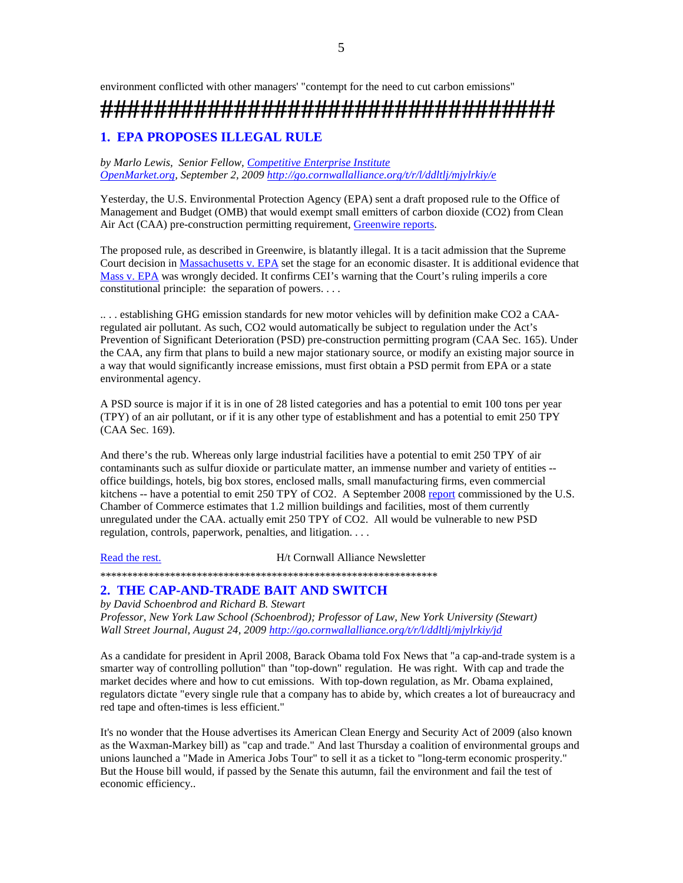# **##################################**

# **1. EPA PROPOSES ILLEGAL RULE**

*by Marlo Lewis, Senior Fellow, Competitive Enterprise Institute OpenMarket.org, September 2, 2009 http://go.cornwallalliance.org/t/r/l/ddltlj/mjylrkiy/e*

Yesterday, the U.S. Environmental Protection Agency (EPA) sent a draft proposed rule to the Office of Management and Budget (OMB) that would exempt small emitters of carbon dioxide (CO2) from Clean Air Act (CAA) pre-construction permitting requirement, Greenwire reports.

The proposed rule, as described in Greenwire, is blatantly illegal. It is a tacit admission that the Supreme Court decision in Massachusetts v. EPA set the stage for an economic disaster. It is additional evidence that Mass v. EPA was wrongly decided. It confirms CEI's warning that the Court's ruling imperils a core constitutional principle: the separation of powers. . . .

.. . . establishing GHG emission standards for new motor vehicles will by definition make CO2 a CAAregulated air pollutant. As such, CO2 would automatically be subject to regulation under the Act's Prevention of Significant Deterioration (PSD) pre-construction permitting program (CAA Sec. 165). Under the CAA, any firm that plans to build a new major stationary source, or modify an existing major source in a way that would significantly increase emissions, must first obtain a PSD permit from EPA or a state environmental agency.

A PSD source is major if it is in one of 28 listed categories and has a potential to emit 100 tons per year (TPY) of an air pollutant, or if it is any other type of establishment and has a potential to emit 250 TPY (CAA Sec. 169).

And there's the rub. Whereas only large industrial facilities have a potential to emit 250 TPY of air contaminants such as sulfur dioxide or particulate matter, an immense number and variety of entities - office buildings, hotels, big box stores, enclosed malls, small manufacturing firms, even commercial kitchens -- have a potential to emit 250 TPY of CO2. A September 2008 report commissioned by the U.S. Chamber of Commerce estimates that 1.2 million buildings and facilities, most of them currently unregulated under the CAA. actually emit 250 TPY of CO2. All would be vulnerable to new PSD regulation, controls, paperwork, penalties, and litigation. . . .

Read the rest. H/t Cornwall Alliance Newsletter

\*\*\*\*\*\*\*\*\*\*\*\*\*\*\*\*\*\*\*\*\*\*\*\*\*\*\*\*\*\*\*\*\*\*\*\*\*\*\*\*\*\*\*\*\*\*\*\*\*\*\*\*\*\*\*\*\*\*\*\*\*\*\*

# **2. THE CAP-AND-TRADE BAIT AND SWITCH**

*by David Schoenbrod and Richard B. Stewart Professor, New York Law School (Schoenbrod); Professor of Law, New York University (Stewart) Wall Street Journal, August 24, 2009 http://go.cornwallalliance.org/t/r/l/ddltlj/mjylrkiy/jd*

As a candidate for president in April 2008, Barack Obama told Fox News that "a cap-and-trade system is a smarter way of controlling pollution" than "top-down" regulation. He was right. With cap and trade the market decides where and how to cut emissions. With top-down regulation, as Mr. Obama explained, regulators dictate "every single rule that a company has to abide by, which creates a lot of bureaucracy and red tape and often-times is less efficient."

It's no wonder that the House advertises its American Clean Energy and Security Act of 2009 (also known as the Waxman-Markey bill) as "cap and trade." And last Thursday a coalition of environmental groups and unions launched a "Made in America Jobs Tour" to sell it as a ticket to "long-term economic prosperity." But the House bill would, if passed by the Senate this autumn, fail the environment and fail the test of economic efficiency..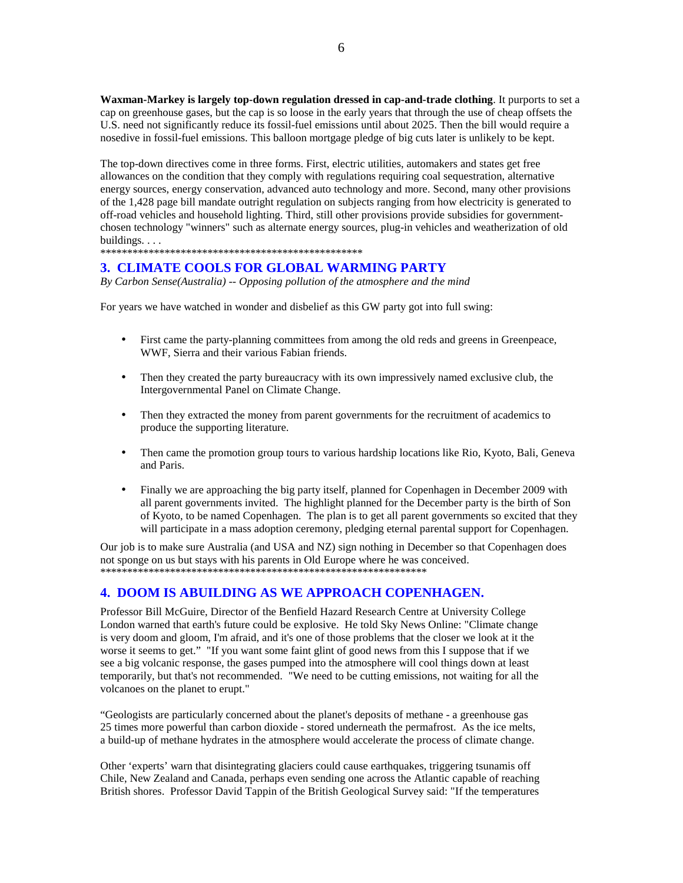**Waxman-Markey is largely top-down regulation dressed in cap-and-trade clothing**. It purports to set a cap on greenhouse gases, but the cap is so loose in the early years that through the use of cheap offsets the U.S. need not significantly reduce its fossil-fuel emissions until about 2025. Then the bill would require a nosedive in fossil-fuel emissions. This balloon mortgage pledge of big cuts later is unlikely to be kept.

The top-down directives come in three forms. First, electric utilities, automakers and states get free allowances on the condition that they comply with regulations requiring coal sequestration, alternative energy sources, energy conservation, advanced auto technology and more. Second, many other provisions of the 1,428 page bill mandate outright regulation on subjects ranging from how electricity is generated to off-road vehicles and household lighting. Third, still other provisions provide subsidies for governmentchosen technology "winners" such as alternate energy sources, plug-in vehicles and weatherization of old buildings....

\*\*\*\*\*\*\*\*\*\*\*\*\*\*\*\*\*\*\*\*\*\*\*\*\*\*\*\*\*\*\*\*\*\*\*\*\*\*\*\*\*\*\*\*\*\*\*\*\*

# **3. CLIMATE COOLS FOR GLOBAL WARMING PARTY**

*By Carbon Sense(Australia) -- Opposing pollution of the atmosphere and the mind* 

For years we have watched in wonder and disbelief as this GW party got into full swing:

- First came the party-planning committees from among the old reds and greens in Greenpeace, WWF, Sierra and their various Fabian friends.
- Then they created the party bureaucracy with its own impressively named exclusive club, the Intergovernmental Panel on Climate Change.
- Then they extracted the money from parent governments for the recruitment of academics to produce the supporting literature.
- Then came the promotion group tours to various hardship locations like Rio, Kyoto, Bali, Geneva and Paris.
- Finally we are approaching the big party itself, planned for Copenhagen in December 2009 with all parent governments invited. The highlight planned for the December party is the birth of Son of Kyoto, to be named Copenhagen. The plan is to get all parent governments so excited that they will participate in a mass adoption ceremony, pledging eternal parental support for Copenhagen.

Our job is to make sure Australia (and USA and NZ) sign nothing in December so that Copenhagen does not sponge on us but stays with his parents in Old Europe where he was conceived. \*\*\*\*\*\*\*\*\*\*\*\*\*\*\*\*\*\*\*\*\*\*\*\*\*\*\*\*\*\*\*\*\*\*\*\*\*\*\*\*\*\*\*\*\*\*\*\*\*\*\*\*\*\*\*\*\*\*\*\*\*

# **4. DOOM IS ABUILDING AS WE APPROACH COPENHAGEN.**

Professor Bill McGuire, Director of the Benfield Hazard Research Centre at University College London warned that earth's future could be explosive. He told Sky News Online: "Climate change is very doom and gloom, I'm afraid, and it's one of those problems that the closer we look at it the worse it seems to get." "If you want some faint glint of good news from this I suppose that if we see a big volcanic response, the gases pumped into the atmosphere will cool things down at least temporarily, but that's not recommended. "We need to be cutting emissions, not waiting for all the volcanoes on the planet to erupt."

"Geologists are particularly concerned about the planet's deposits of methane - a greenhouse gas 25 times more powerful than carbon dioxide - stored underneath the permafrost. As the ice melts, a build-up of methane hydrates in the atmosphere would accelerate the process of climate change.

Other 'experts' warn that disintegrating glaciers could cause earthquakes, triggering tsunamis off Chile, New Zealand and Canada, perhaps even sending one across the Atlantic capable of reaching British shores. Professor David Tappin of the British Geological Survey said: "If the temperatures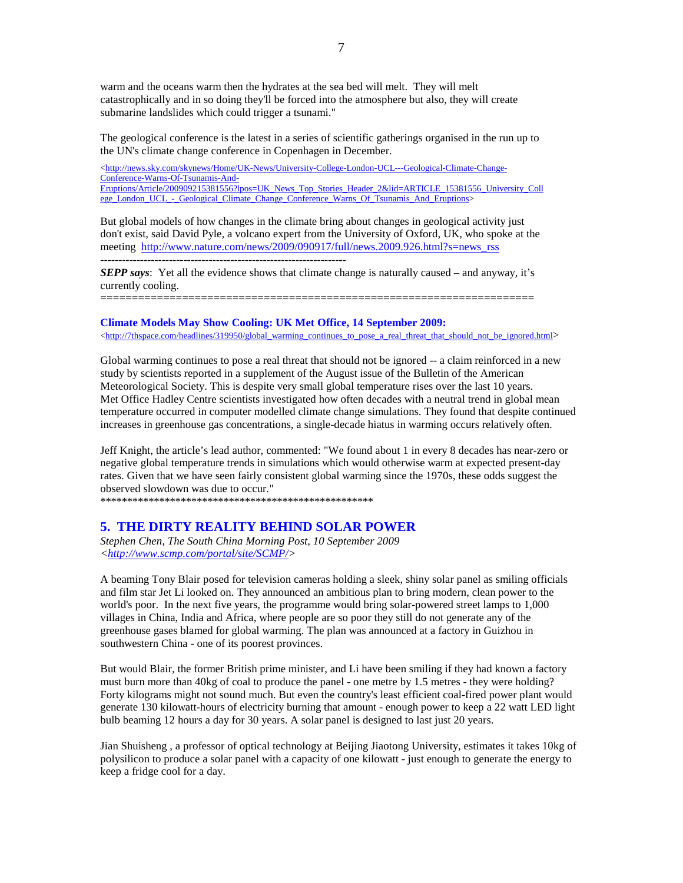warm and the oceans warm then the hydrates at the sea bed will melt. They will melt catastrophically and in so doing they'll be forced into the atmosphere but also, they will create submarine landslides which could trigger a tsunami."

The geological conference is the latest in a series of scientific gatherings organised in the run up to the UN's climate change conference in Copenhagen in December.

<http://news.sky.com/skynews/Home/UK-News/University-College-London-UCL---Geological-Climate-Change-Conference-Warns-Of-Tsunamis-And-Eruptions/Article/200909215381556?lpos=UK\_News\_Top\_Stories\_Header\_2&lid=ARTICLE\_15381556\_University\_Coll ege\_London\_UCL\_-\_Geological\_Climate\_Change\_Conference\_Warns\_Of\_Tsunamis\_And\_Eruptions>

But global models of how changes in the climate bring about changes in geological activity just don't exist, said David Pyle, a volcano expert from the University of Oxford, UK, who spoke at the meeting http://www.nature.com/news/2009/090917/full/news.2009.926.html?s=news\_rss

--------------------------------------------------------------------

*SEPP says*: Yet all the evidence shows that climate change is naturally caused – and anyway, it's currently cooling.

=====================================================================

#### **Climate Models May Show Cooling: UK Met Office, 14 September 2009:**

<http://7thspace.com/headlines/319950/global\_warming\_continues\_to\_pose\_a\_real\_threat\_that\_should\_not\_be\_ignored.html>

Global warming continues to pose a real threat that should not be ignored -- a claim reinforced in a new study by scientists reported in a supplement of the August issue of the Bulletin of the American Meteorological Society. This is despite very small global temperature rises over the last 10 years. Met Office Hadley Centre scientists investigated how often decades with a neutral trend in global mean temperature occurred in computer modelled climate change simulations. They found that despite continued increases in greenhouse gas concentrations, a single-decade hiatus in warming occurs relatively often.

Jeff Knight, the article's lead author, commented: "We found about 1 in every 8 decades has near-zero or negative global temperature trends in simulations which would otherwise warm at expected present-day rates. Given that we have seen fairly consistent global warming since the 1970s, these odds suggest the observed slowdown was due to occur."

\*\*\*\*\*\*\*\*\*\*\*\*\*\*\*\*\*\*\*\*\*\*\*\*\*\*\*\*\*\*\*\*\*\*\*\*\*\*\*\*\*\*\*\*\*\*\*\*\*\*\*

## **5. THE DIRTY REALITY BEHIND SOLAR POWER**

*Stephen Chen, The South China Morning Post, 10 September 2009 <http://www.scmp.com/portal/site/SCMP/>* 

A beaming Tony Blair posed for television cameras holding a sleek, shiny solar panel as smiling officials and film star Jet Li looked on. They announced an ambitious plan to bring modern, clean power to the world's poor. In the next five years, the programme would bring solar-powered street lamps to 1,000 villages in China, India and Africa, where people are so poor they still do not generate any of the greenhouse gases blamed for global warming. The plan was announced at a factory in Guizhou in southwestern China - one of its poorest provinces.

But would Blair, the former British prime minister, and Li have been smiling if they had known a factory must burn more than 40kg of coal to produce the panel - one metre by 1.5 metres - they were holding? Forty kilograms might not sound much. But even the country's least efficient coal-fired power plant would generate 130 kilowatt-hours of electricity burning that amount - enough power to keep a 22 watt LED light bulb beaming 12 hours a day for 30 years. A solar panel is designed to last just 20 years.

Jian Shuisheng , a professor of optical technology at Beijing Jiaotong University, estimates it takes 10kg of polysilicon to produce a solar panel with a capacity of one kilowatt - just enough to generate the energy to keep a fridge cool for a day.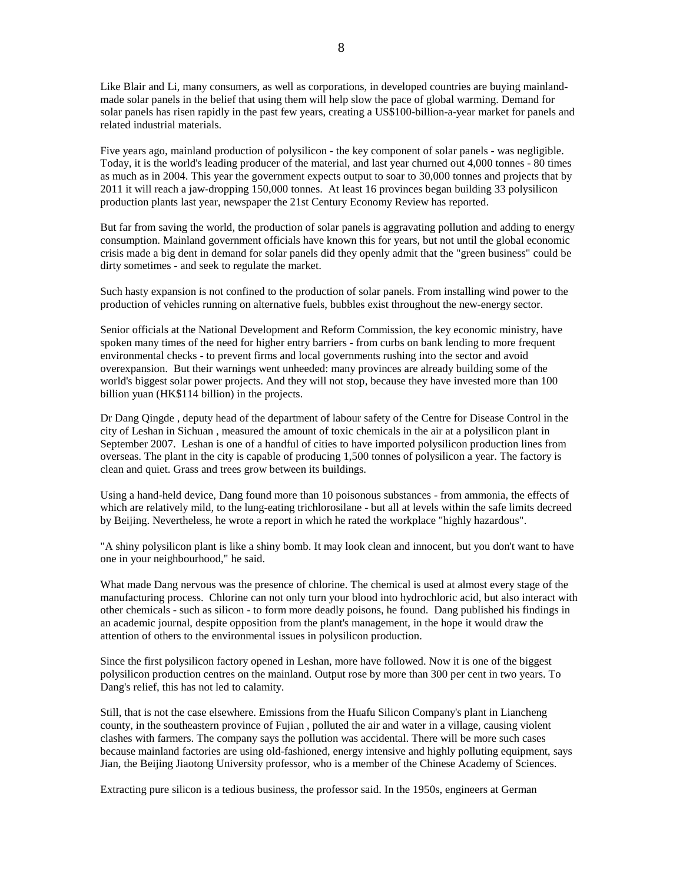Like Blair and Li, many consumers, as well as corporations, in developed countries are buying mainlandmade solar panels in the belief that using them will help slow the pace of global warming. Demand for solar panels has risen rapidly in the past few years, creating a US\$100-billion-a-year market for panels and related industrial materials.

Five years ago, mainland production of polysilicon - the key component of solar panels - was negligible. Today, it is the world's leading producer of the material, and last year churned out 4,000 tonnes - 80 times as much as in 2004. This year the government expects output to soar to 30,000 tonnes and projects that by 2011 it will reach a jaw-dropping 150,000 tonnes. At least 16 provinces began building 33 polysilicon production plants last year, newspaper the 21st Century Economy Review has reported.

But far from saving the world, the production of solar panels is aggravating pollution and adding to energy consumption. Mainland government officials have known this for years, but not until the global economic crisis made a big dent in demand for solar panels did they openly admit that the "green business" could be dirty sometimes - and seek to regulate the market.

Such hasty expansion is not confined to the production of solar panels. From installing wind power to the production of vehicles running on alternative fuels, bubbles exist throughout the new-energy sector.

Senior officials at the National Development and Reform Commission, the key economic ministry, have spoken many times of the need for higher entry barriers - from curbs on bank lending to more frequent environmental checks - to prevent firms and local governments rushing into the sector and avoid overexpansion. But their warnings went unheeded: many provinces are already building some of the world's biggest solar power projects. And they will not stop, because they have invested more than 100 billion yuan (HK\$114 billion) in the projects.

Dr Dang Qingde , deputy head of the department of labour safety of the Centre for Disease Control in the city of Leshan in Sichuan , measured the amount of toxic chemicals in the air at a polysilicon plant in September 2007. Leshan is one of a handful of cities to have imported polysilicon production lines from overseas. The plant in the city is capable of producing 1,500 tonnes of polysilicon a year. The factory is clean and quiet. Grass and trees grow between its buildings.

Using a hand-held device, Dang found more than 10 poisonous substances - from ammonia, the effects of which are relatively mild, to the lung-eating trichlorosilane - but all at levels within the safe limits decreed by Beijing. Nevertheless, he wrote a report in which he rated the workplace "highly hazardous".

"A shiny polysilicon plant is like a shiny bomb. It may look clean and innocent, but you don't want to have one in your neighbourhood," he said.

What made Dang nervous was the presence of chlorine. The chemical is used at almost every stage of the manufacturing process. Chlorine can not only turn your blood into hydrochloric acid, but also interact with other chemicals - such as silicon - to form more deadly poisons, he found. Dang published his findings in an academic journal, despite opposition from the plant's management, in the hope it would draw the attention of others to the environmental issues in polysilicon production.

Since the first polysilicon factory opened in Leshan, more have followed. Now it is one of the biggest polysilicon production centres on the mainland. Output rose by more than 300 per cent in two years. To Dang's relief, this has not led to calamity.

Still, that is not the case elsewhere. Emissions from the Huafu Silicon Company's plant in Liancheng county, in the southeastern province of Fujian , polluted the air and water in a village, causing violent clashes with farmers. The company says the pollution was accidental. There will be more such cases because mainland factories are using old-fashioned, energy intensive and highly polluting equipment, says Jian, the Beijing Jiaotong University professor, who is a member of the Chinese Academy of Sciences.

Extracting pure silicon is a tedious business, the professor said. In the 1950s, engineers at German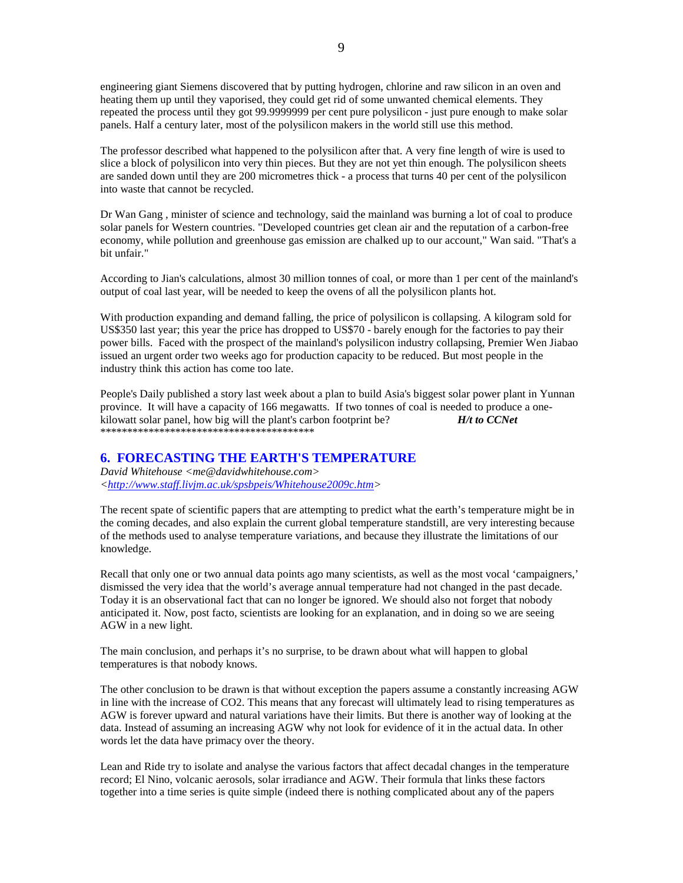engineering giant Siemens discovered that by putting hydrogen, chlorine and raw silicon in an oven and heating them up until they vaporised, they could get rid of some unwanted chemical elements. They repeated the process until they got 99.9999999 per cent pure polysilicon - just pure enough to make solar panels. Half a century later, most of the polysilicon makers in the world still use this method.

The professor described what happened to the polysilicon after that. A very fine length of wire is used to slice a block of polysilicon into very thin pieces. But they are not yet thin enough. The polysilicon sheets are sanded down until they are 200 micrometres thick - a process that turns 40 per cent of the polysilicon into waste that cannot be recycled.

Dr Wan Gang , minister of science and technology, said the mainland was burning a lot of coal to produce solar panels for Western countries. "Developed countries get clean air and the reputation of a carbon-free economy, while pollution and greenhouse gas emission are chalked up to our account," Wan said. "That's a bit unfair."

According to Jian's calculations, almost 30 million tonnes of coal, or more than 1 per cent of the mainland's output of coal last year, will be needed to keep the ovens of all the polysilicon plants hot.

With production expanding and demand falling, the price of polysilicon is collapsing. A kilogram sold for US\$350 last year; this year the price has dropped to US\$70 - barely enough for the factories to pay their power bills. Faced with the prospect of the mainland's polysilicon industry collapsing, Premier Wen Jiabao issued an urgent order two weeks ago for production capacity to be reduced. But most people in the industry think this action has come too late.

People's Daily published a story last week about a plan to build Asia's biggest solar power plant in Yunnan province. It will have a capacity of 166 megawatts. If two tonnes of coal is needed to produce a onekilowatt solar panel, how big will the plant's carbon footprint be? *H/t to CCNet* \*\*\*\*\*\*\*\*\*\*\*\*\*\*\*\*\*\*\*\*\*\*\*\*\*\*\*\*\*\*\*\*\*\*\*\*\*\*\*\*

# **6. FORECASTING THE EARTH'S TEMPERATURE**

*David Whitehouse <me@davidwhitehouse.com> <http://www.staff.livjm.ac.uk/spsbpeis/Whitehouse2009c.htm>* 

The recent spate of scientific papers that are attempting to predict what the earth's temperature might be in the coming decades, and also explain the current global temperature standstill, are very interesting because of the methods used to analyse temperature variations, and because they illustrate the limitations of our knowledge.

Recall that only one or two annual data points ago many scientists, as well as the most vocal 'campaigners,' dismissed the very idea that the world's average annual temperature had not changed in the past decade. Today it is an observational fact that can no longer be ignored. We should also not forget that nobody anticipated it. Now, post facto, scientists are looking for an explanation, and in doing so we are seeing AGW in a new light.

The main conclusion, and perhaps it's no surprise, to be drawn about what will happen to global temperatures is that nobody knows.

The other conclusion to be drawn is that without exception the papers assume a constantly increasing AGW in line with the increase of CO2. This means that any forecast will ultimately lead to rising temperatures as AGW is forever upward and natural variations have their limits. But there is another way of looking at the data. Instead of assuming an increasing AGW why not look for evidence of it in the actual data. In other words let the data have primacy over the theory.

Lean and Ride try to isolate and analyse the various factors that affect decadal changes in the temperature record; El Nino, volcanic aerosols, solar irradiance and AGW. Their formula that links these factors together into a time series is quite simple (indeed there is nothing complicated about any of the papers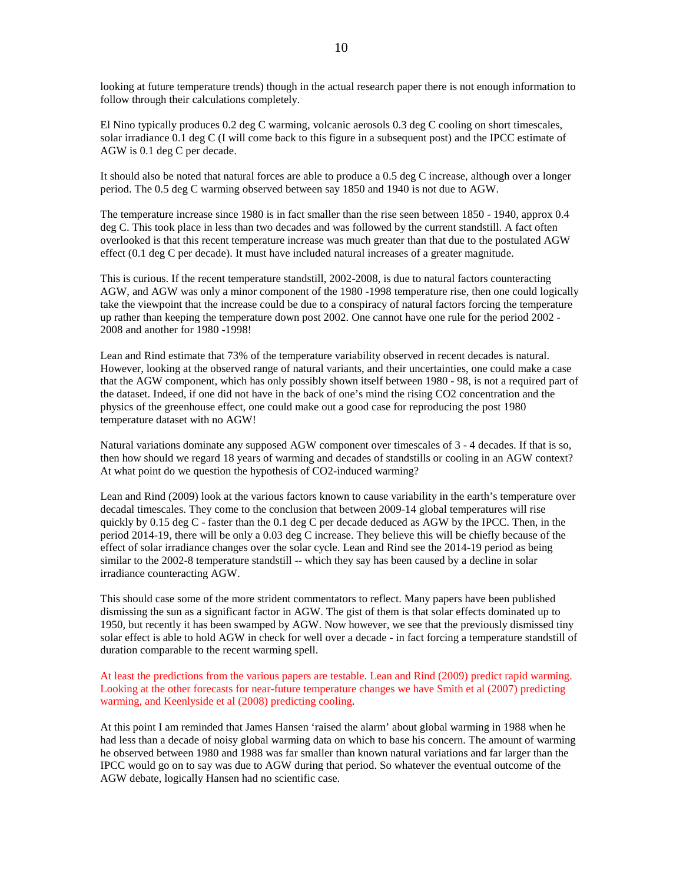looking at future temperature trends) though in the actual research paper there is not enough information to follow through their calculations completely.

El Nino typically produces 0.2 deg C warming, volcanic aerosols 0.3 deg C cooling on short timescales, solar irradiance 0.1 deg C (I will come back to this figure in a subsequent post) and the IPCC estimate of AGW is 0.1 deg C per decade.

It should also be noted that natural forces are able to produce a 0.5 deg C increase, although over a longer period. The 0.5 deg C warming observed between say 1850 and 1940 is not due to AGW.

The temperature increase since 1980 is in fact smaller than the rise seen between 1850 - 1940, approx 0.4 deg C. This took place in less than two decades and was followed by the current standstill. A fact often overlooked is that this recent temperature increase was much greater than that due to the postulated AGW effect (0.1 deg C per decade). It must have included natural increases of a greater magnitude.

This is curious. If the recent temperature standstill, 2002-2008, is due to natural factors counteracting AGW, and AGW was only a minor component of the 1980 -1998 temperature rise, then one could logically take the viewpoint that the increase could be due to a conspiracy of natural factors forcing the temperature up rather than keeping the temperature down post 2002. One cannot have one rule for the period 2002 - 2008 and another for 1980 -1998!

Lean and Rind estimate that 73% of the temperature variability observed in recent decades is natural. However, looking at the observed range of natural variants, and their uncertainties, one could make a case that the AGW component, which has only possibly shown itself between 1980 - 98, is not a required part of the dataset. Indeed, if one did not have in the back of one's mind the rising CO2 concentration and the physics of the greenhouse effect, one could make out a good case for reproducing the post 1980 temperature dataset with no AGW!

Natural variations dominate any supposed AGW component over timescales of 3 - 4 decades. If that is so, then how should we regard 18 years of warming and decades of standstills or cooling in an AGW context? At what point do we question the hypothesis of CO2-induced warming?

Lean and Rind (2009) look at the various factors known to cause variability in the earth's temperature over decadal timescales. They come to the conclusion that between 2009-14 global temperatures will rise quickly by 0.15 deg C - faster than the 0.1 deg C per decade deduced as AGW by the IPCC. Then, in the period 2014-19, there will be only a 0.03 deg C increase. They believe this will be chiefly because of the effect of solar irradiance changes over the solar cycle. Lean and Rind see the 2014-19 period as being similar to the 2002-8 temperature standstill -- which they say has been caused by a decline in solar irradiance counteracting AGW.

This should case some of the more strident commentators to reflect. Many papers have been published dismissing the sun as a significant factor in AGW. The gist of them is that solar effects dominated up to 1950, but recently it has been swamped by AGW. Now however, we see that the previously dismissed tiny solar effect is able to hold AGW in check for well over a decade - in fact forcing a temperature standstill of duration comparable to the recent warming spell.

At least the predictions from the various papers are testable. Lean and Rind (2009) predict rapid warming. Looking at the other forecasts for near-future temperature changes we have Smith et al (2007) predicting warming, and Keenlyside et al (2008) predicting cooling.

At this point I am reminded that James Hansen 'raised the alarm' about global warming in 1988 when he had less than a decade of noisy global warming data on which to base his concern. The amount of warming he observed between 1980 and 1988 was far smaller than known natural variations and far larger than the IPCC would go on to say was due to AGW during that period. So whatever the eventual outcome of the AGW debate, logically Hansen had no scientific case.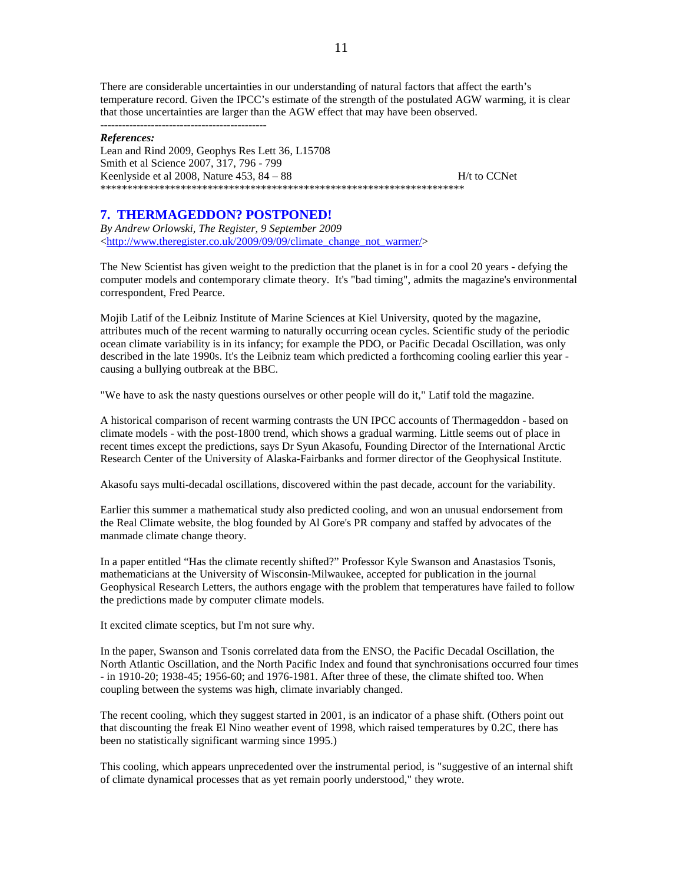There are considerable uncertainties in our understanding of natural factors that affect the earth's temperature record. Given the IPCC's estimate of the strength of the postulated AGW warming, it is clear that those uncertainties are larger than the AGW effect that may have been observed. ----------------------------------------------

#### *References:*

Lean and Rind 2009, Geophys Res Lett 36, L15708 Smith et al Science 2007, 317, 796 - 799 Keenlyside et al  $2008$ , Nature  $453$ ,  $84 - 88$  H/t to CCNet \*\*\*\*\*\*\*\*\*\*\*\*\*\*\*\*\*\*\*\*\*\*\*\*\*\*\*\*\*\*\*\*\*\*\*\*\*\*\*\*\*\*\*\*\*\*\*\*\*\*\*\*\*\*\*\*\*\*\*\*\*\*\*\*\*\*\*\*

# **7. THERMAGEDDON? POSTPONED!**

*By Andrew Orlowski, The Register, 9 September 2009*  <http://www.theregister.co.uk/2009/09/09/climate\_change\_not\_warmer/>

The New Scientist has given weight to the prediction that the planet is in for a cool 20 years - defying the computer models and contemporary climate theory. It's "bad timing", admits the magazine's environmental correspondent, Fred Pearce.

Mojib Latif of the Leibniz Institute of Marine Sciences at Kiel University, quoted by the magazine, attributes much of the recent warming to naturally occurring ocean cycles. Scientific study of the periodic ocean climate variability is in its infancy; for example the PDO, or Pacific Decadal Oscillation, was only described in the late 1990s. It's the Leibniz team which predicted a forthcoming cooling earlier this year causing a bullying outbreak at the BBC.

"We have to ask the nasty questions ourselves or other people will do it," Latif told the magazine.

A historical comparison of recent warming contrasts the UN IPCC accounts of Thermageddon - based on climate models - with the post-1800 trend, which shows a gradual warming. Little seems out of place in recent times except the predictions, says Dr Syun Akasofu, Founding Director of the International Arctic Research Center of the University of Alaska-Fairbanks and former director of the Geophysical Institute.

Akasofu says multi-decadal oscillations, discovered within the past decade, account for the variability.

Earlier this summer a mathematical study also predicted cooling, and won an unusual endorsement from the Real Climate website, the blog founded by Al Gore's PR company and staffed by advocates of the manmade climate change theory.

In a paper entitled "Has the climate recently shifted?" Professor Kyle Swanson and Anastasios Tsonis, mathematicians at the University of Wisconsin-Milwaukee, accepted for publication in the journal Geophysical Research Letters, the authors engage with the problem that temperatures have failed to follow the predictions made by computer climate models.

It excited climate sceptics, but I'm not sure why.

In the paper, Swanson and Tsonis correlated data from the ENSO, the Pacific Decadal Oscillation, the North Atlantic Oscillation, and the North Pacific Index and found that synchronisations occurred four times - in 1910-20; 1938-45; 1956-60; and 1976-1981. After three of these, the climate shifted too. When coupling between the systems was high, climate invariably changed.

The recent cooling, which they suggest started in 2001, is an indicator of a phase shift. (Others point out that discounting the freak El Nino weather event of 1998, which raised temperatures by 0.2C, there has been no statistically significant warming since 1995.)

This cooling, which appears unprecedented over the instrumental period, is "suggestive of an internal shift of climate dynamical processes that as yet remain poorly understood," they wrote.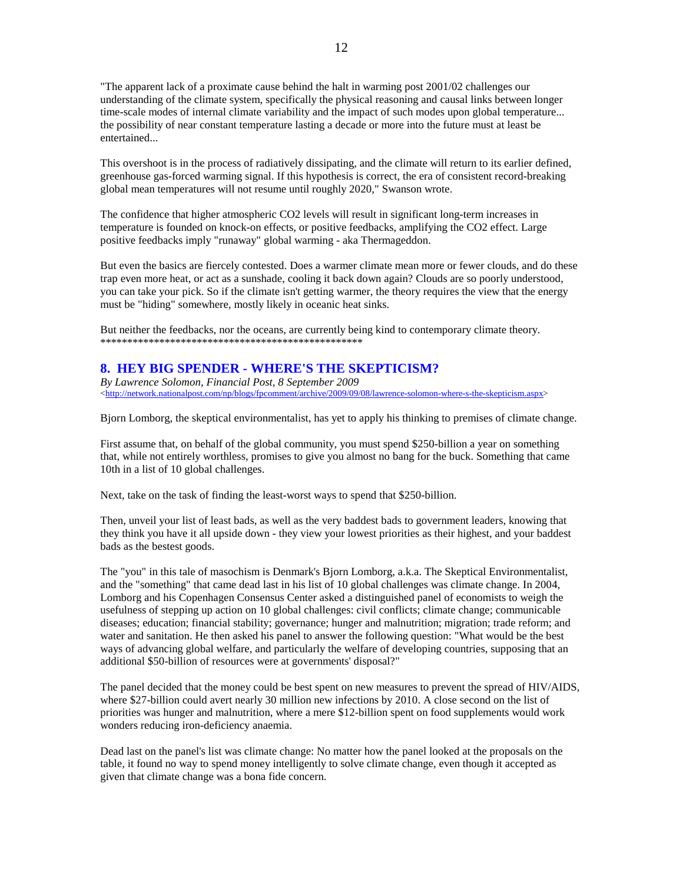"The apparent lack of a proximate cause behind the halt in warming post 2001/02 challenges our understanding of the climate system, specifically the physical reasoning and causal links between longer time-scale modes of internal climate variability and the impact of such modes upon global temperature... the possibility of near constant temperature lasting a decade or more into the future must at least be entertained...

This overshoot is in the process of radiatively dissipating, and the climate will return to its earlier defined, greenhouse gas-forced warming signal. If this hypothesis is correct, the era of consistent record-breaking global mean temperatures will not resume until roughly 2020," Swanson wrote.

The confidence that higher atmospheric CO2 levels will result in significant long-term increases in temperature is founded on knock-on effects, or positive feedbacks, amplifying the CO2 effect. Large positive feedbacks imply "runaway" global warming - aka Thermageddon.

But even the basics are fiercely contested. Does a warmer climate mean more or fewer clouds, and do these trap even more heat, or act as a sunshade, cooling it back down again? Clouds are so poorly understood, you can take your pick. So if the climate isn't getting warmer, the theory requires the view that the energy must be "hiding" somewhere, mostly likely in oceanic heat sinks.

But neither the feedbacks, nor the oceans, are currently being kind to contemporary climate theory. \*\*\*\*\*\*\*\*\*\*\*\*\*\*\*\*\*\*\*\*\*\*\*\*\*\*\*\*\*\*\*\*\*\*\*\*\*\*\*\*\*\*\*\*\*\*\*\*\*

# **8. HEY BIG SPENDER - WHERE'S THE SKEPTICISM?**

*By Lawrence Solomon, Financial Post, 8 September 2009*  <http://network.nationalpost.com/np/blogs/fpcomment/archive/2009/09/08/lawrence-solomon-where-s-the-skepticism.aspx>

Bjorn Lomborg, the skeptical environmentalist, has yet to apply his thinking to premises of climate change.

First assume that, on behalf of the global community, you must spend \$250-billion a year on something that, while not entirely worthless, promises to give you almost no bang for the buck. Something that came 10th in a list of 10 global challenges.

Next, take on the task of finding the least-worst ways to spend that \$250-billion.

Then, unveil your list of least bads, as well as the very baddest bads to government leaders, knowing that they think you have it all upside down - they view your lowest priorities as their highest, and your baddest bads as the bestest goods.

The "you" in this tale of masochism is Denmark's Bjorn Lomborg, a.k.a. The Skeptical Environmentalist, and the "something" that came dead last in his list of 10 global challenges was climate change. In 2004, Lomborg and his Copenhagen Consensus Center asked a distinguished panel of economists to weigh the usefulness of stepping up action on 10 global challenges: civil conflicts; climate change; communicable diseases; education; financial stability; governance; hunger and malnutrition; migration; trade reform; and water and sanitation. He then asked his panel to answer the following question: "What would be the best ways of advancing global welfare, and particularly the welfare of developing countries, supposing that an additional \$50-billion of resources were at governments' disposal?"

The panel decided that the money could be best spent on new measures to prevent the spread of HIV/AIDS, where \$27-billion could avert nearly 30 million new infections by 2010. A close second on the list of priorities was hunger and malnutrition, where a mere \$12-billion spent on food supplements would work wonders reducing iron-deficiency anaemia.

Dead last on the panel's list was climate change: No matter how the panel looked at the proposals on the table, it found no way to spend money intelligently to solve climate change, even though it accepted as given that climate change was a bona fide concern.